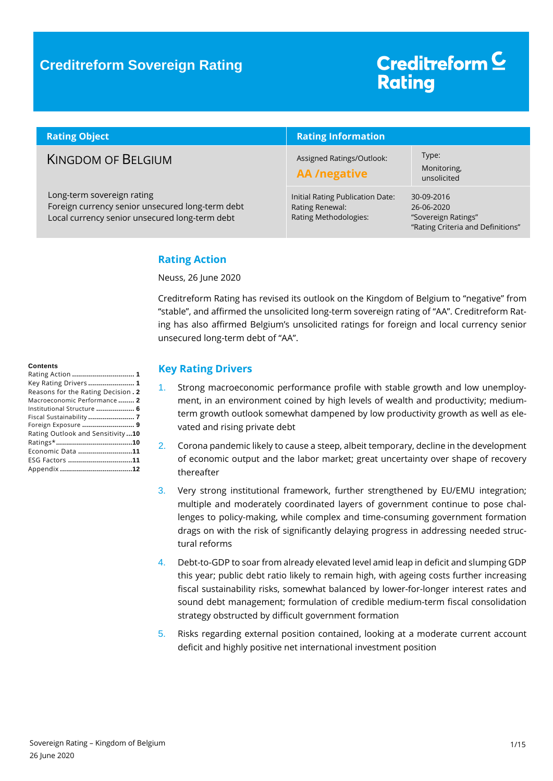### **Creditreform Sovereign Rating**

# Creditreform<sup>C</sup> **Rating**

| <b>Rating Object</b>                                                                                                             | <b>Rating Information</b>                                                    |                                                                                      |  |
|----------------------------------------------------------------------------------------------------------------------------------|------------------------------------------------------------------------------|--------------------------------------------------------------------------------------|--|
| <b>KINGDOM OF BELGIUM</b>                                                                                                        | Assigned Ratings/Outlook:<br><b>AA</b> /negative                             | Type:<br>Monitoring,<br>unsolicited                                                  |  |
| Long-term sovereign rating<br>Foreign currency senior unsecured long-term debt<br>Local currency senior unsecured long-term debt | Initial Rating Publication Date:<br>Rating Renewal:<br>Rating Methodologies: | 30-09-2016<br>26-06-2020<br>"Sovereign Ratings"<br>"Rating Criteria and Definitions" |  |

### <span id="page-0-0"></span>**Rating Action**

Neuss, 26 June 2020

Creditreform Rating has revised its outlook on the Kingdom of Belgium to "negative" from "stable", and affirmed the unsolicited long-term sovereign rating of "AA". Creditreform Rating has also affirmed Belgium's unsolicited ratings for foreign and local currency senior unsecured long-term debt of "AA".

#### **Contents**

#### <span id="page-0-1"></span>**Key Rating Drivers**

- 1. Strong macroeconomic performance profile with stable growth and low unemployment, in an environment coined by high levels of wealth and productivity; mediumterm growth outlook somewhat dampened by low productivity growth as well as elevated and rising private debt
- 2. Corona pandemic likely to cause a steep, albeit temporary, decline in the development of economic output and the labor market; great uncertainty over shape of recovery thereafter
- 3. Very strong institutional framework, further strengthened by EU/EMU integration; multiple and moderately coordinated layers of government continue to pose challenges to policy-making, while complex and time-consuming government formation drags on with the risk of significantly delaying progress in addressing needed structural reforms
- 4. Debt-to-GDP to soar from already elevated level amid leap in deficit and slumping GDP this year; public debt ratio likely to remain high, with ageing costs further increasing fiscal sustainability risks, somewhat balanced by lower-for-longer interest rates and sound debt management; formulation of credible medium-term fiscal consolidation strategy obstructed by difficult government formation
- 5. Risks regarding external position contained, looking at a moderate current account deficit and highly positive net international investment position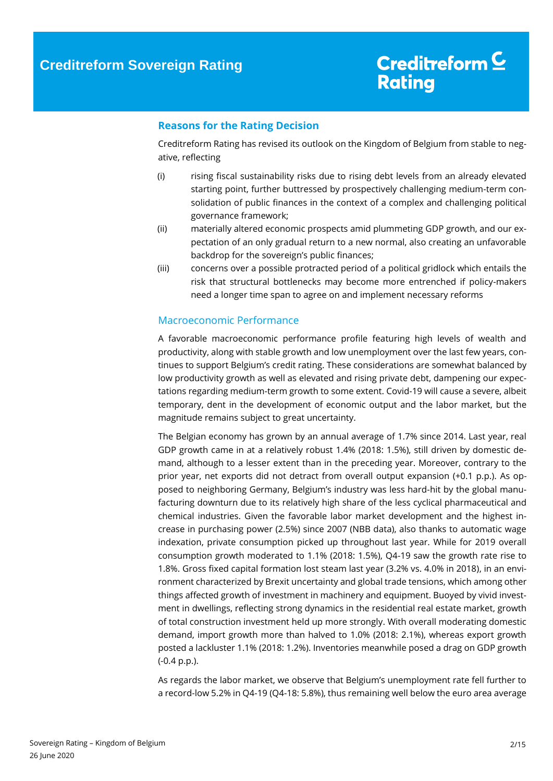### <span id="page-1-0"></span>**Reasons for the Rating Decision**

Creditreform Rating has revised its outlook on the Kingdom of Belgium from stable to negative, reflecting

- (i) rising fiscal sustainability risks due to rising debt levels from an already elevated starting point, further buttressed by prospectively challenging medium-term consolidation of public finances in the context of a complex and challenging political governance framework;
- (ii) materially altered economic prospects amid plummeting GDP growth, and our expectation of an only gradual return to a new normal, also creating an unfavorable backdrop for the sovereign's public finances;
- (iii) concerns over a possible protracted period of a political gridlock which entails the risk that structural bottlenecks may become more entrenched if policy-makers need a longer time span to agree on and implement necessary reforms

### <span id="page-1-1"></span>Macroeconomic Performance

A favorable macroeconomic performance profile featuring high levels of wealth and productivity, along with stable growth and low unemployment over the last few years, continues to support Belgium's credit rating. These considerations are somewhat balanced by low productivity growth as well as elevated and rising private debt, dampening our expectations regarding medium-term growth to some extent. Covid-19 will cause a severe, albeit temporary, dent in the development of economic output and the labor market, but the magnitude remains subject to great uncertainty.

The Belgian economy has grown by an annual average of 1.7% since 2014. Last year, real GDP growth came in at a relatively robust 1.4% (2018: 1.5%), still driven by domestic demand, although to a lesser extent than in the preceding year. Moreover, contrary to the prior year, net exports did not detract from overall output expansion (+0.1 p.p.). As opposed to neighboring Germany, Belgium's industry was less hard-hit by the global manufacturing downturn due to its relatively high share of the less cyclical pharmaceutical and chemical industries. Given the favorable labor market development and the highest increase in purchasing power (2.5%) since 2007 (NBB data), also thanks to automatic wage indexation, private consumption picked up throughout last year. While for 2019 overall consumption growth moderated to 1.1% (2018: 1.5%), Q4-19 saw the growth rate rise to 1.8%. Gross fixed capital formation lost steam last year (3.2% vs. 4.0% in 2018), in an environment characterized by Brexit uncertainty and global trade tensions, which among other things affected growth of investment in machinery and equipment. Buoyed by vivid investment in dwellings, reflecting strong dynamics in the residential real estate market, growth of total construction investment held up more strongly. With overall moderating domestic demand, import growth more than halved to 1.0% (2018: 2.1%), whereas export growth posted a lackluster 1.1% (2018: 1.2%). Inventories meanwhile posed a drag on GDP growth (-0.4 p.p.).

As regards the labor market, we observe that Belgium's unemployment rate fell further to a record-low 5.2% in Q4-19 (Q4-18: 5.8%), thus remaining well below the euro area average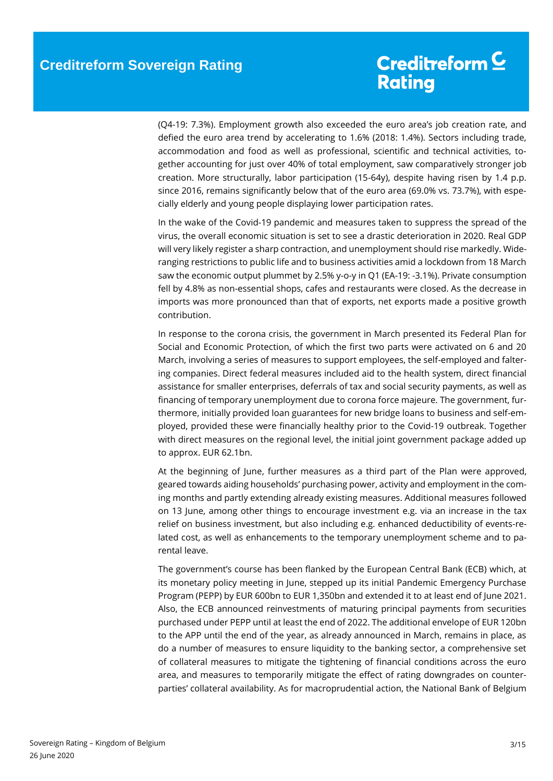(Q4-19: 7.3%). Employment growth also exceeded the euro area's job creation rate, and defied the euro area trend by accelerating to 1.6% (2018: 1.4%). Sectors including trade, accommodation and food as well as professional, scientific and technical activities, together accounting for just over 40% of total employment, saw comparatively stronger job creation. More structurally, labor participation (15-64y), despite having risen by 1.4 p.p. since 2016, remains significantly below that of the euro area (69.0% vs. 73.7%), with especially elderly and young people displaying lower participation rates.

In the wake of the Covid-19 pandemic and measures taken to suppress the spread of the virus, the overall economic situation is set to see a drastic deterioration in 2020. Real GDP will very likely register a sharp contraction, and unemployment should rise markedly. Wideranging restrictions to public life and to business activities amid a lockdown from 18 March saw the economic output plummet by 2.5% y-o-y in Q1 (EA-19: -3.1%). Private consumption fell by 4.8% as non-essential shops, cafes and restaurants were closed. As the decrease in imports was more pronounced than that of exports, net exports made a positive growth contribution.

In response to the corona crisis, the government in March presented its Federal Plan for Social and Economic Protection, of which the first two parts were activated on 6 and 20 March, involving a series of measures to support employees, the self-employed and faltering companies. Direct federal measures included aid to the health system, direct financial assistance for smaller enterprises, deferrals of tax and social security payments, as well as financing of temporary unemployment due to corona force majeure. The government, furthermore, initially provided loan guarantees for new bridge loans to business and self-employed, provided these were financially healthy prior to the Covid-19 outbreak. Together with direct measures on the regional level, the initial joint government package added up to approx. EUR 62.1bn.

At the beginning of June, further measures as a third part of the Plan were approved, geared towards aiding households' purchasing power, activity and employment in the coming months and partly extending already existing measures. Additional measures followed on 13 June, among other things to encourage investment e.g. via an increase in the tax relief on business investment, but also including e.g. enhanced deductibility of events-related cost, as well as enhancements to the temporary unemployment scheme and to parental leave.

The government's course has been flanked by the European Central Bank (ECB) which, at its monetary policy meeting in June, stepped up its initial Pandemic Emergency Purchase Program (PEPP) by EUR 600bn to EUR 1,350bn and extended it to at least end of June 2021. Also, the ECB announced reinvestments of maturing principal payments from securities purchased under PEPP until at least the end of 2022. The additional envelope of EUR 120bn to the APP until the end of the year, as already announced in March, remains in place, as do a number of measures to ensure liquidity to the banking sector, a comprehensive set of collateral measures to mitigate the tightening of financial conditions across the euro area, and measures to temporarily mitigate the effect of rating downgrades on counterparties' collateral availability. As for macroprudential action, the National Bank of Belgium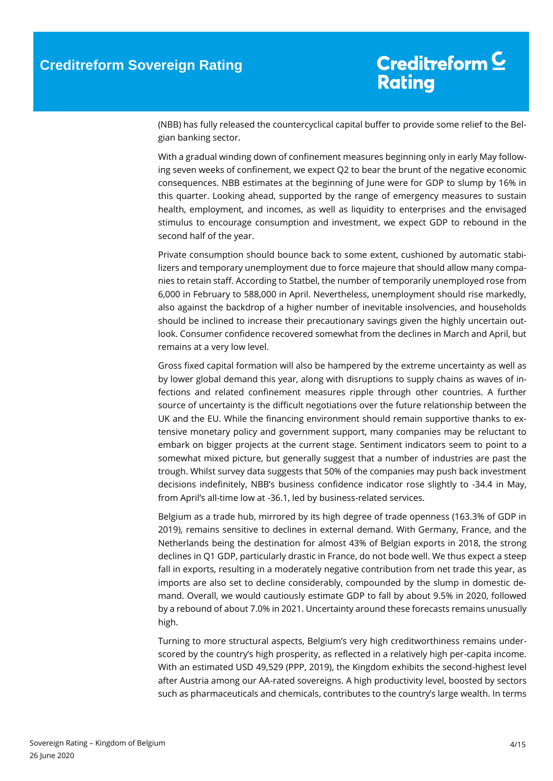(NBB) has fully released the countercyclical capital buffer to provide some relief to the Belgian banking sector.

With a gradual winding down of confinement measures beginning only in early May following seven weeks of confinement, we expect Q2 to bear the brunt of the negative economic consequences. NBB estimates at the beginning of June were for GDP to slump by 16% in this quarter. Looking ahead, supported by the range of emergency measures to sustain health, employment, and incomes, as well as liquidity to enterprises and the envisaged stimulus to encourage consumption and investment, we expect GDP to rebound in the second half of the year.

Private consumption should bounce back to some extent, cushioned by automatic stabilizers and temporary unemployment due to force majeure that should allow many companies to retain staff. According to Statbel, the number of temporarily unemployed rose from 6,000 in February to 588,000 in April. Nevertheless, unemployment should rise markedly, also against the backdrop of a higher number of inevitable insolvencies, and households should be inclined to increase their precautionary savings given the highly uncertain outlook. Consumer confidence recovered somewhat from the declines in March and April, but remains at a very low level.

Gross fixed capital formation will also be hampered by the extreme uncertainty as well as by lower global demand this year, along with disruptions to supply chains as waves of infections and related confinement measures ripple through other countries. A further source of uncertainty is the difficult negotiations over the future relationship between the UK and the EU. While the financing environment should remain supportive thanks to extensive monetary policy and government support, many companies may be reluctant to embark on bigger projects at the current stage. Sentiment indicators seem to point to a somewhat mixed picture, but generally suggest that a number of industries are past the trough. Whilst survey data suggests that 50% of the companies may push back investment decisions indefinitely, NBB's business confidence indicator rose slightly to -34.4 in May, from April's all-time low at -36.1, led by business-related services.

Belgium as a trade hub, mirrored by its high degree of trade openness (163.3% of GDP in 2019), remains sensitive to declines in external demand. With Germany, France, and the Netherlands being the destination for almost 43% of Belgian exports in 2018, the strong declines in Q1 GDP, particularly drastic in France, do not bode well. We thus expect a steep fall in exports, resulting in a moderately negative contribution from net trade this year, as imports are also set to decline considerably, compounded by the slump in domestic demand. Overall, we would cautiously estimate GDP to fall by about 9.5% in 2020, followed by a rebound of about 7.0% in 2021. Uncertainty around these forecasts remains unusually high.

Turning to more structural aspects, Belgium's very high creditworthiness remains underscored by the country's high prosperity, as reflected in a relatively high per-capita income. With an estimated USD 49,529 (PPP, 2019), the Kingdom exhibits the second-highest level after Austria among our AA-rated sovereigns. A high productivity level, boosted by sectors such as pharmaceuticals and chemicals, contributes to the country's large wealth. In terms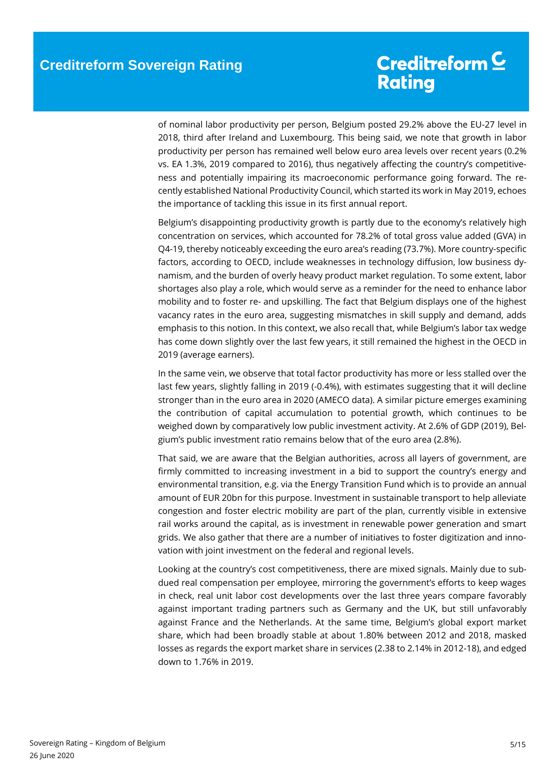of nominal labor productivity per person, Belgium posted 29.2% above the EU-27 level in 2018, third after Ireland and Luxembourg. This being said, we note that growth in labor productivity per person has remained well below euro area levels over recent years (0.2% vs. EA 1.3%, 2019 compared to 2016), thus negatively affecting the country's competitiveness and potentially impairing its macroeconomic performance going forward. The recently established National Productivity Council, which started its work in May 2019, echoes the importance of tackling this issue in its first annual report.

Belgium's disappointing productivity growth is partly due to the economy's relatively high concentration on services, which accounted for 78.2% of total gross value added (GVA) in Q4-19, thereby noticeably exceeding the euro area's reading (73.7%). More country-specific factors, according to OECD, include weaknesses in technology diffusion, low business dynamism, and the burden of overly heavy product market regulation. To some extent, labor shortages also play a role, which would serve as a reminder for the need to enhance labor mobility and to foster re- and upskilling. The fact that Belgium displays one of the highest vacancy rates in the euro area, suggesting mismatches in skill supply and demand, adds emphasis to this notion. In this context, we also recall that, while Belgium's labor tax wedge has come down slightly over the last few years, it still remained the highest in the OECD in 2019 (average earners).

In the same vein, we observe that total factor productivity has more or less stalled over the last few years, slightly falling in 2019 (-0.4%), with estimates suggesting that it will decline stronger than in the euro area in 2020 (AMECO data). A similar picture emerges examining the contribution of capital accumulation to potential growth, which continues to be weighed down by comparatively low public investment activity. At 2.6% of GDP (2019), Belgium's public investment ratio remains below that of the euro area (2.8%).

That said, we are aware that the Belgian authorities, across all layers of government, are firmly committed to increasing investment in a bid to support the country's energy and environmental transition, e.g. via the Energy Transition Fund which is to provide an annual amount of EUR 20bn for this purpose. Investment in sustainable transport to help alleviate congestion and foster electric mobility are part of the plan, currently visible in extensive rail works around the capital, as is investment in renewable power generation and smart grids. We also gather that there are a number of initiatives to foster digitization and innovation with joint investment on the federal and regional levels.

Looking at the country's cost competitiveness, there are mixed signals. Mainly due to subdued real compensation per employee, mirroring the government's efforts to keep wages in check, real unit labor cost developments over the last three years compare favorably against important trading partners such as Germany and the UK, but still unfavorably against France and the Netherlands. At the same time, Belgium's global export market share, which had been broadly stable at about 1.80% between 2012 and 2018, masked losses as regards the export market share in services (2.38 to 2.14% in 2012-18), and edged down to 1.76% in 2019.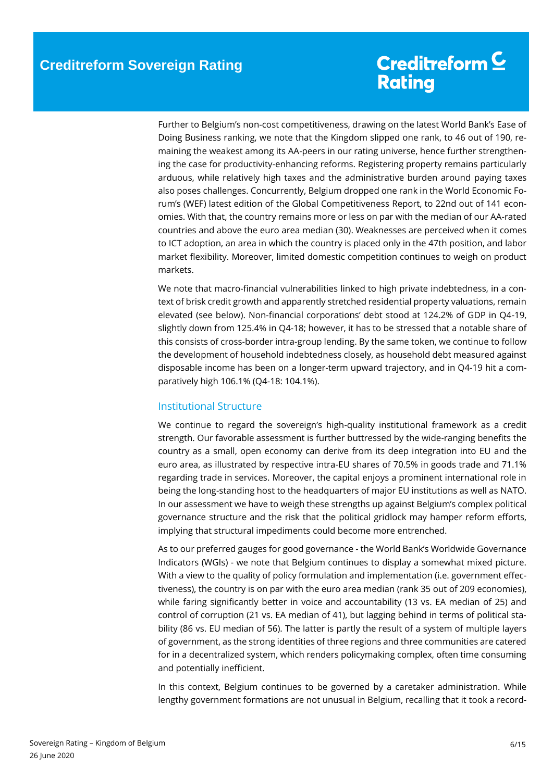Further to Belgium's non-cost competitiveness, drawing on the latest World Bank's Ease of Doing Business ranking, we note that the Kingdom slipped one rank, to 46 out of 190, remaining the weakest among its AA-peers in our rating universe, hence further strengthening the case for productivity-enhancing reforms. Registering property remains particularly arduous, while relatively high taxes and the administrative burden around paying taxes also poses challenges. Concurrently, Belgium dropped one rank in the World Economic Forum's (WEF) latest edition of the Global Competitiveness Report, to 22nd out of 141 economies. With that, the country remains more or less on par with the median of our AA-rated countries and above the euro area median (30). Weaknesses are perceived when it comes to ICT adoption, an area in which the country is placed only in the 47th position, and labor market flexibility. Moreover, limited domestic competition continues to weigh on product markets.

We note that macro-financial vulnerabilities linked to high private indebtedness, in a context of brisk credit growth and apparently stretched residential property valuations, remain elevated (see below). Non-financial corporations' debt stood at 124.2% of GDP in Q4-19, slightly down from 125.4% in Q4-18; however, it has to be stressed that a notable share of this consists of cross-border intra-group lending. By the same token, we continue to follow the development of household indebtedness closely, as household debt measured against disposable income has been on a longer-term upward trajectory, and in Q4-19 hit a comparatively high 106.1% (Q4-18: 104.1%).

### <span id="page-5-0"></span>Institutional Structure

We continue to regard the sovereign's high-quality institutional framework as a credit strength. Our favorable assessment is further buttressed by the wide-ranging benefits the country as a small, open economy can derive from its deep integration into EU and the euro area, as illustrated by respective intra-EU shares of 70.5% in goods trade and 71.1% regarding trade in services. Moreover, the capital enjoys a prominent international role in being the long-standing host to the headquarters of major EU institutions as well as NATO. In our assessment we have to weigh these strengths up against Belgium's complex political governance structure and the risk that the political gridlock may hamper reform efforts, implying that structural impediments could become more entrenched.

As to our preferred gauges for good governance - the World Bank's Worldwide Governance Indicators (WGIs) - we note that Belgium continues to display a somewhat mixed picture. With a view to the quality of policy formulation and implementation (i.e. government effectiveness), the country is on par with the euro area median (rank 35 out of 209 economies), while faring significantly better in voice and accountability (13 vs. EA median of 25) and control of corruption (21 vs. EA median of 41), but lagging behind in terms of political stability (86 vs. EU median of 56). The latter is partly the result of a system of multiple layers of government, as the strong identities of three regions and three communities are catered for in a decentralized system, which renders policymaking complex, often time consuming and potentially inefficient.

In this context, Belgium continues to be governed by a caretaker administration. While lengthy government formations are not unusual in Belgium, recalling that it took a record-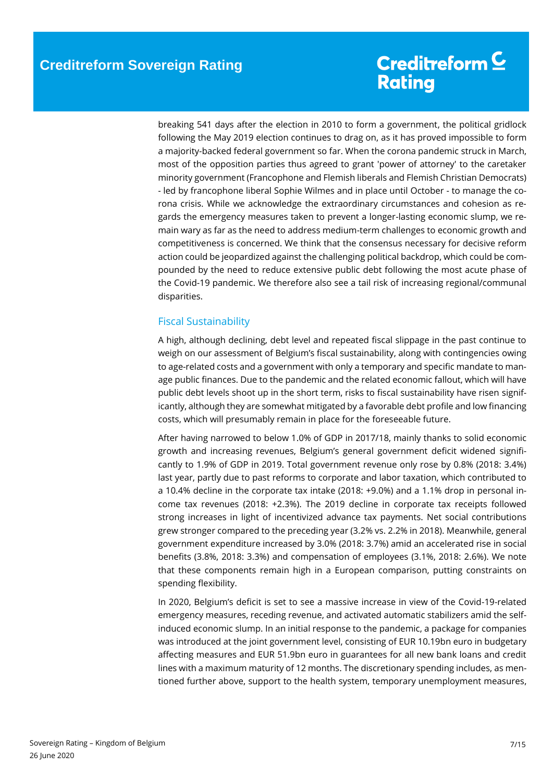breaking 541 days after the election in 2010 to form a government, the political gridlock following the May 2019 election continues to drag on, as it has proved impossible to form a majority-backed federal government so far. When the corona pandemic struck in March, most of the opposition parties thus agreed to grant 'power of attorney' to the caretaker minority government (Francophone and Flemish liberals and Flemish Christian Democrats) - led by francophone liberal Sophie Wilmes and in place until October - to manage the corona crisis. While we acknowledge the extraordinary circumstances and cohesion as regards the emergency measures taken to prevent a longer-lasting economic slump, we remain wary as far as the need to address medium-term challenges to economic growth and competitiveness is concerned. We think that the consensus necessary for decisive reform action could be jeopardized against the challenging political backdrop, which could be compounded by the need to reduce extensive public debt following the most acute phase of the Covid-19 pandemic. We therefore also see a tail risk of increasing regional/communal disparities.

### <span id="page-6-0"></span>Fiscal Sustainability

A high, although declining, debt level and repeated fiscal slippage in the past continue to weigh on our assessment of Belgium's fiscal sustainability, along with contingencies owing to age-related costs and a government with only a temporary and specific mandate to manage public finances. Due to the pandemic and the related economic fallout, which will have public debt levels shoot up in the short term, risks to fiscal sustainability have risen significantly, although they are somewhat mitigated by a favorable debt profile and low financing costs, which will presumably remain in place for the foreseeable future.

After having narrowed to below 1.0% of GDP in 2017/18, mainly thanks to solid economic growth and increasing revenues, Belgium's general government deficit widened significantly to 1.9% of GDP in 2019. Total government revenue only rose by 0.8% (2018: 3.4%) last year, partly due to past reforms to corporate and labor taxation, which contributed to a 10.4% decline in the corporate tax intake (2018: +9.0%) and a 1.1% drop in personal income tax revenues (2018: +2.3%). The 2019 decline in corporate tax receipts followed strong increases in light of incentivized advance tax payments. Net social contributions grew stronger compared to the preceding year (3.2% vs. 2.2% in 2018). Meanwhile, general government expenditure increased by 3.0% (2018: 3.7%) amid an accelerated rise in social benefits (3.8%, 2018: 3.3%) and compensation of employees (3.1%, 2018: 2.6%). We note that these components remain high in a European comparison, putting constraints on spending flexibility.

In 2020, Belgium's deficit is set to see a massive increase in view of the Covid-19-related emergency measures, receding revenue, and activated automatic stabilizers amid the selfinduced economic slump. In an initial response to the pandemic, a package for companies was introduced at the joint government level, consisting of EUR 10.19bn euro in budgetary affecting measures and EUR 51.9bn euro in guarantees for all new bank loans and credit lines with a maximum maturity of 12 months. The discretionary spending includes, as mentioned further above, support to the health system, temporary unemployment measures,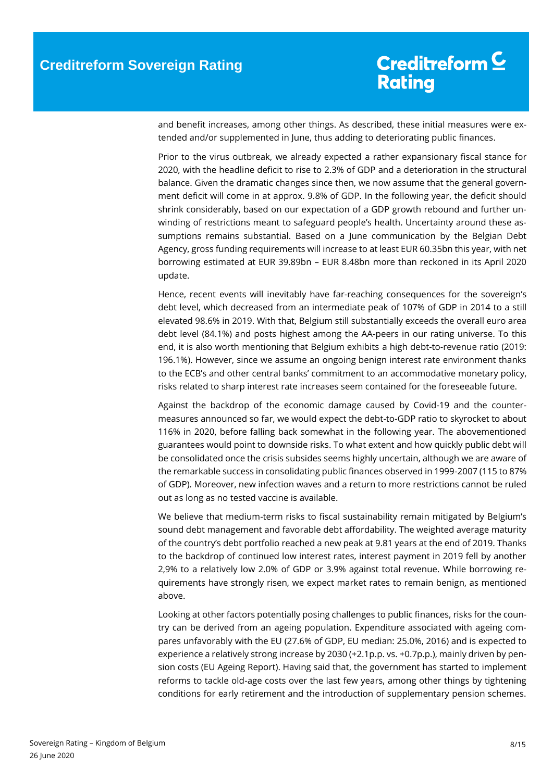and benefit increases, among other things. As described, these initial measures were extended and/or supplemented in June, thus adding to deteriorating public finances.

Prior to the virus outbreak, we already expected a rather expansionary fiscal stance for 2020, with the headline deficit to rise to 2.3% of GDP and a deterioration in the structural balance. Given the dramatic changes since then, we now assume that the general government deficit will come in at approx. 9.8% of GDP. In the following year, the deficit should shrink considerably, based on our expectation of a GDP growth rebound and further unwinding of restrictions meant to safeguard people's health. Uncertainty around these assumptions remains substantial. Based on a June communication by the Belgian Debt Agency, gross funding requirements will increase to at least EUR 60.35bn this year, with net borrowing estimated at EUR 39.89bn – EUR 8.48bn more than reckoned in its April 2020 update.

Hence, recent events will inevitably have far-reaching consequences for the sovereign's debt level, which decreased from an intermediate peak of 107% of GDP in 2014 to a still elevated 98.6% in 2019. With that, Belgium still substantially exceeds the overall euro area debt level (84.1%) and posts highest among the AA-peers in our rating universe. To this end, it is also worth mentioning that Belgium exhibits a high debt-to-revenue ratio (2019: 196.1%). However, since we assume an ongoing benign interest rate environment thanks to the ECB's and other central banks' commitment to an accommodative monetary policy, risks related to sharp interest rate increases seem contained for the foreseeable future.

Against the backdrop of the economic damage caused by Covid-19 and the countermeasures announced so far, we would expect the debt-to-GDP ratio to skyrocket to about 116% in 2020, before falling back somewhat in the following year. The abovementioned guarantees would point to downside risks. To what extent and how quickly public debt will be consolidated once the crisis subsides seems highly uncertain, although we are aware of the remarkable success in consolidating public finances observed in 1999-2007 (115 to 87% of GDP). Moreover, new infection waves and a return to more restrictions cannot be ruled out as long as no tested vaccine is available.

We believe that medium-term risks to fiscal sustainability remain mitigated by Belgium's sound debt management and favorable debt affordability. The weighted average maturity of the country's debt portfolio reached a new peak at 9.81 years at the end of 2019. Thanks to the backdrop of continued low interest rates, interest payment in 2019 fell by another 2,9% to a relatively low 2.0% of GDP or 3.9% against total revenue. While borrowing requirements have strongly risen, we expect market rates to remain benign, as mentioned above.

Looking at other factors potentially posing challenges to public finances, risks for the country can be derived from an ageing population. Expenditure associated with ageing compares unfavorably with the EU (27.6% of GDP, EU median: 25.0%, 2016) and is expected to experience a relatively strong increase by 2030 (+2.1p.p. vs. +0.7p.p.), mainly driven by pension costs (EU Ageing Report). Having said that, the government has started to implement reforms to tackle old-age costs over the last few years, among other things by tightening conditions for early retirement and the introduction of supplementary pension schemes.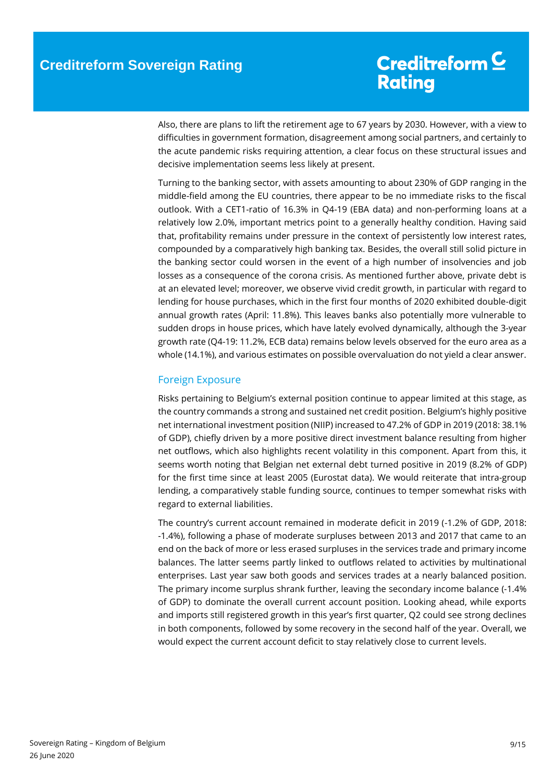Also, there are plans to lift the retirement age to 67 years by 2030. However, with a view to difficulties in government formation, disagreement among social partners, and certainly to the acute pandemic risks requiring attention, a clear focus on these structural issues and decisive implementation seems less likely at present.

Turning to the banking sector, with assets amounting to about 230% of GDP ranging in the middle-field among the EU countries, there appear to be no immediate risks to the fiscal outlook. With a CET1-ratio of 16.3% in Q4-19 (EBA data) and non-performing loans at a relatively low 2.0%, important metrics point to a generally healthy condition. Having said that, profitability remains under pressure in the context of persistently low interest rates, compounded by a comparatively high banking tax. Besides, the overall still solid picture in the banking sector could worsen in the event of a high number of insolvencies and job losses as a consequence of the corona crisis. As mentioned further above, private debt is at an elevated level; moreover, we observe vivid credit growth, in particular with regard to lending for house purchases, which in the first four months of 2020 exhibited double-digit annual growth rates (April: 11.8%). This leaves banks also potentially more vulnerable to sudden drops in house prices, which have lately evolved dynamically, although the 3-year growth rate (Q4-19: 11.2%, ECB data) remains below levels observed for the euro area as a whole (14.1%), and various estimates on possible overvaluation do not yield a clear answer.

### <span id="page-8-0"></span>Foreign Exposure

Risks pertaining to Belgium's external position continue to appear limited at this stage, as the country commands a strong and sustained net credit position. Belgium's highly positive net international investment position (NIIP) increased to 47.2% of GDP in 2019 (2018: 38.1% of GDP), chiefly driven by a more positive direct investment balance resulting from higher net outflows, which also highlights recent volatility in this component. Apart from this, it seems worth noting that Belgian net external debt turned positive in 2019 (8.2% of GDP) for the first time since at least 2005 (Eurostat data). We would reiterate that intra-group lending, a comparatively stable funding source, continues to temper somewhat risks with regard to external liabilities.

The country's current account remained in moderate deficit in 2019 (-1.2% of GDP, 2018: -1.4%), following a phase of moderate surpluses between 2013 and 2017 that came to an end on the back of more or less erased surpluses in the services trade and primary income balances. The latter seems partly linked to outflows related to activities by multinational enterprises. Last year saw both goods and services trades at a nearly balanced position. The primary income surplus shrank further, leaving the secondary income balance (-1.4% of GDP) to dominate the overall current account position. Looking ahead, while exports and imports still registered growth in this year's first quarter, Q2 could see strong declines in both components, followed by some recovery in the second half of the year. Overall, we would expect the current account deficit to stay relatively close to current levels.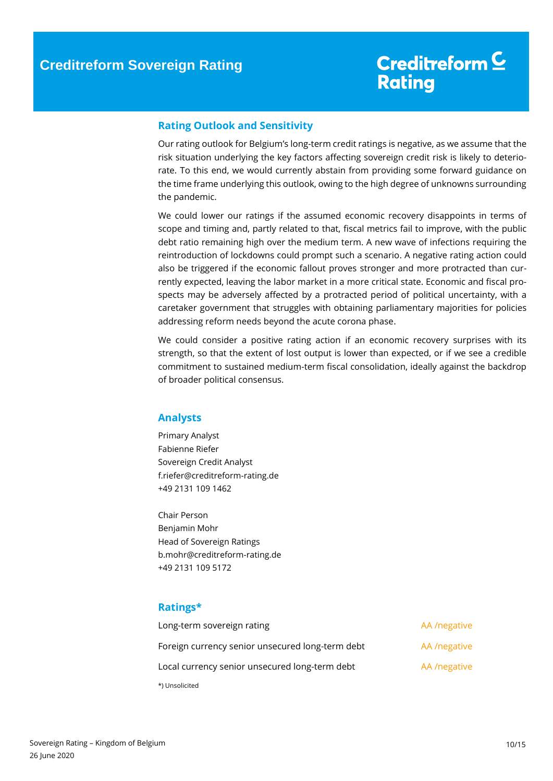### <span id="page-9-0"></span>**Rating Outlook and Sensitivity**

Our rating outlook for Belgium's long-term credit ratings is negative, as we assume that the risk situation underlying the key factors affecting sovereign credit risk is likely to deteriorate. To this end, we would currently abstain from providing some forward guidance on the time frame underlying this outlook, owing to the high degree of unknowns surrounding the pandemic.

We could lower our ratings if the assumed economic recovery disappoints in terms of scope and timing and, partly related to that, fiscal metrics fail to improve, with the public debt ratio remaining high over the medium term. A new wave of infections requiring the reintroduction of lockdowns could prompt such a scenario. A negative rating action could also be triggered if the economic fallout proves stronger and more protracted than currently expected, leaving the labor market in a more critical state. Economic and fiscal prospects may be adversely affected by a protracted period of political uncertainty, with a caretaker government that struggles with obtaining parliamentary majorities for policies addressing reform needs beyond the acute corona phase.

We could consider a positive rating action if an economic recovery surprises with its strength, so that the extent of lost output is lower than expected, or if we see a credible commitment to sustained medium-term fiscal consolidation, ideally against the backdrop of broader political consensus.

### **Analysts**

Primary Analyst Fabienne Riefer Sovereign Credit Analyst f.riefer@creditreform-rating.de +49 2131 109 1462

Chair Person Benjamin Mohr Head of Sovereign Ratings b.mohr@creditreform-rating.de +49 2131 109 5172

### <span id="page-9-1"></span>**Ratings\***

| Long-term sovereign rating                       | AA /negative |
|--------------------------------------------------|--------------|
| Foreign currency senior unsecured long-term debt | AA /negative |
| Local currency senior unsecured long-term debt   | AA /negative |
| *) Unsolicited                                   |              |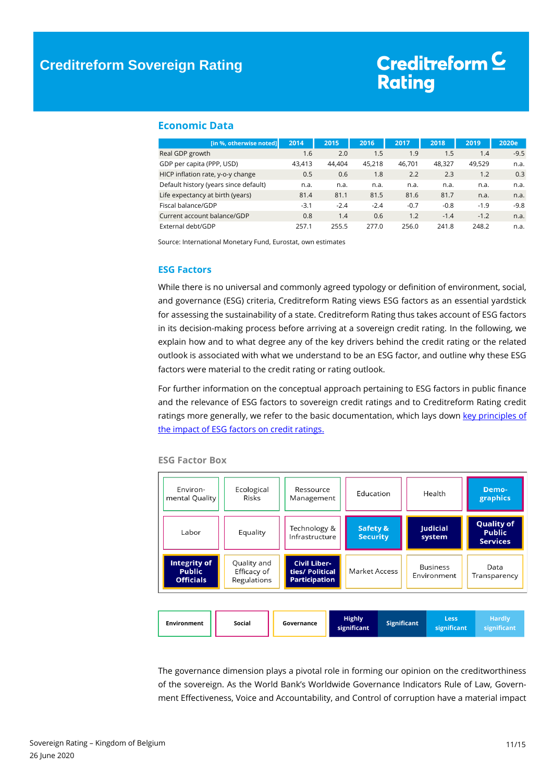#### <span id="page-10-0"></span>**Economic Data**

| [in %, otherwise noted]               | 2014   | 2015   | 2016   | 2017   | 2018   | 2019   | 2020e  |
|---------------------------------------|--------|--------|--------|--------|--------|--------|--------|
| Real GDP growth                       | 1.6    | 2.0    | 1.5    | 1.9    | 1.5    | 1.4    | $-9.5$ |
| GDP per capita (PPP, USD)             | 43.413 | 44.404 | 45,218 | 46.701 | 48,327 | 49,529 | n.a.   |
| HICP inflation rate, y-o-y change     | 0.5    | 0.6    | 1.8    | 2.2    | 2.3    | 1.2    | 0.3    |
| Default history (years since default) | n.a.   | n.a.   | n.a.   | n.a.   | n.a.   | n.a.   | n.a.   |
| Life expectancy at birth (years)      | 81.4   | 81.1   | 81.5   | 81.6   | 81.7   | n.a.   | n.a.   |
| Fiscal balance/GDP                    | $-3.1$ | $-2.4$ | $-2.4$ | $-0.7$ | $-0.8$ | $-1.9$ | $-9.8$ |
| Current account balance/GDP           | 0.8    | 1.4    | 0.6    | 1.2    | $-1.4$ | $-1.2$ | n.a.   |
| External debt/GDP                     | 257.1  | 255.5  | 277.0  | 256.0  | 241.8  | 248.2  | n.a.   |

<span id="page-10-1"></span>Source: International Monetary Fund, Eurostat, own estimates

#### **ESG Factors**

While there is no universal and commonly agreed typology or definition of environment, social, and governance (ESG) criteria, Creditreform Rating views ESG factors as an essential yardstick for assessing the sustainability of a state. Creditreform Rating thus takes account of ESG factors in its decision-making process before arriving at a sovereign credit rating. In the following, we explain how and to what degree any of the key drivers behind the credit rating or the related outlook is associated with what we understand to be an ESG factor, and outline why these ESG factors were material to the credit rating or rating outlook.

For further information on the conceptual approach pertaining to ESG factors in public finance and the relevance of ESG factors to sovereign credit ratings and to Creditreform Rating credit ratings more generally, we refer to the basic documentation, which lays down key principles of [the impact of ESG factors on credit ratings.](https://www.creditreform-rating.de/en/about-us/regulatory-requirements.html?file=files/content/downloads/Externes%20Rating/Regulatorische%20Anforderungen/EN/Ratingmethodiken%20EN/The%20Impact%20of%20ESG%20Factors%20on%20Credit%20Ratings.pdf)



#### **ESG Factor Box**

The governance dimension plays a pivotal role in forming our opinion on the creditworthiness of the sovereign. As the World Bank's Worldwide Governance Indicators Rule of Law, Government Effectiveness, Voice and Accountability, and Control of corruption have a material impact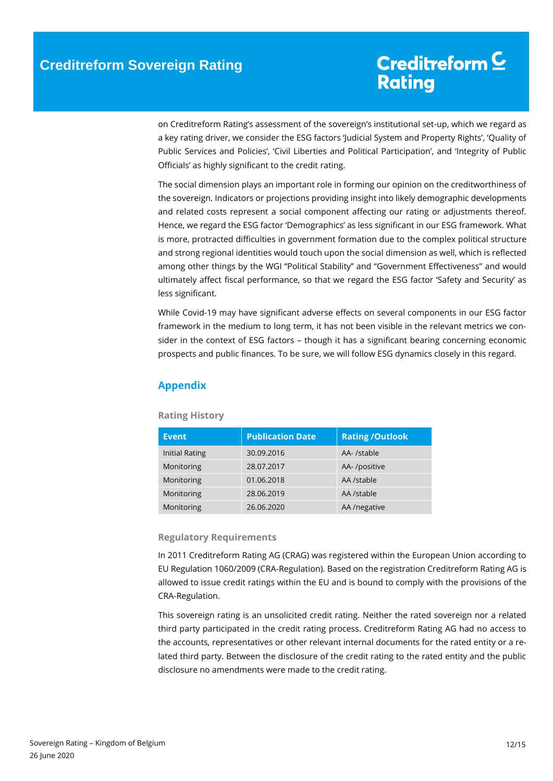on Creditreform Rating's assessment of the sovereign's institutional set-up, which we regard as a key rating driver, we consider the ESG factors 'Judicial System and Property Rights', 'Quality of Public Services and Policies', 'Civil Liberties and Political Participation', and 'Integrity of Public Officials' as highly significant to the credit rating.

The social dimension plays an important role in forming our opinion on the creditworthiness of the sovereign. Indicators or projections providing insight into likely demographic developments and related costs represent a social component affecting our rating or adjustments thereof. Hence, we regard the ESG factor 'Demographics' as less significant in our ESG framework. What is more, protracted difficulties in government formation due to the complex political structure and strong regional identities would touch upon the social dimension as well, which is reflected among other things by the WGI "Political Stability" and "Government Effectiveness" and would ultimately affect fiscal performance, so that we regard the ESG factor 'Safety and Security' as less significant.

While Covid-19 may have significant adverse effects on several components in our ESG factor framework in the medium to long term, it has not been visible in the relevant metrics we consider in the context of ESG factors – though it has a significant bearing concerning economic prospects and public finances. To be sure, we will follow ESG dynamics closely in this regard.

### <span id="page-11-0"></span>**Appendix**

| <b>Event</b>          | <b>Publication Date</b> | <b>Rating /Outlook</b> |
|-----------------------|-------------------------|------------------------|
| <b>Initial Rating</b> | 30.09.2016              | AA- /stable            |
| Monitoring            | 28.07.2017              | AA-/positive           |
| Monitoring            | 01.06.2018              | AA /stable             |
| Monitoring            | 28.06.2019              | AA /stable             |
| Monitoring            | 26.06.2020              | AA /negative           |

#### **Rating History**

#### **Regulatory Requirements**

In 2011 Creditreform Rating AG (CRAG) was registered within the European Union according to EU Regulation 1060/2009 (CRA-Regulation). Based on the registration Creditreform Rating AG is allowed to issue credit ratings within the EU and is bound to comply with the provisions of the CRA-Regulation.

This sovereign rating is an unsolicited credit rating. Neither the rated sovereign nor a related third party participated in the credit rating process. Creditreform Rating AG had no access to the accounts, representatives or other relevant internal documents for the rated entity or a related third party. Between the disclosure of the credit rating to the rated entity and the public disclosure no amendments were made to the credit rating.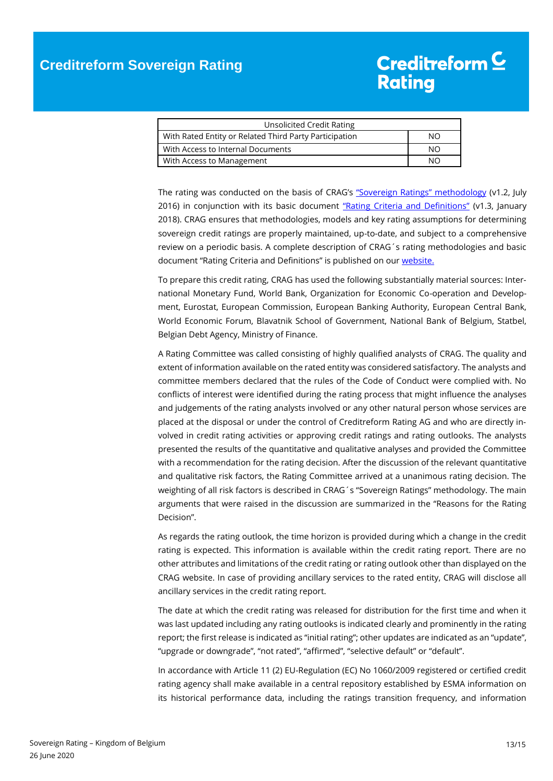| Unsolicited Credit Rating                              |     |
|--------------------------------------------------------|-----|
| With Rated Entity or Related Third Party Participation | NΟ  |
| With Access to Internal Documents                      | NO. |
| <b>With Access to Management</b>                       | NΩ  |

The rating was conducted on the basis of CRAG's ["Sovereign Ratings" methodology](https://www.creditreform-rating.de/en/about-us/regulatory-requirements.html?file=files/content/downloads/Externes%20Rating/Regulatorische%20Anforderungen/EN/Ratingmethodiken%20EN/Rating%20Methodology%20Sovereign%20Ratings.pdf) (v1.2, July 2016) in conjunction with its basic document ["Rating Criteria and Definitions"](https://www.creditreform-rating.de/en/about-us/regulatory-requirements.html?file=files/content/downloads/Externes%20Rating/Regulatorische%20Anforderungen/EN/Ratingmethodiken%20EN/CRAG%20Rating%20Criteria%20and%20Definitions.pdf) (v1.3, January 2018). CRAG ensures that methodologies, models and key rating assumptions for determining sovereign credit ratings are properly maintained, up-to-date, and subject to a comprehensive review on a periodic basis. A complete description of CRAG´s rating methodologies and basic document "Rating Criteria and Definitions" is published on our [website.](https://www.creditreform-rating.de/en/about-us/regulatory-requirements.html)

To prepare this credit rating, CRAG has used the following substantially material sources: International Monetary Fund, World Bank, Organization for Economic Co-operation and Development, Eurostat, European Commission, European Banking Authority, European Central Bank, World Economic Forum, Blavatnik School of Government, National Bank of Belgium, Statbel, Belgian Debt Agency, Ministry of Finance.

A Rating Committee was called consisting of highly qualified analysts of CRAG. The quality and extent of information available on the rated entity was considered satisfactory. The analysts and committee members declared that the rules of the Code of Conduct were complied with. No conflicts of interest were identified during the rating process that might influence the analyses and judgements of the rating analysts involved or any other natural person whose services are placed at the disposal or under the control of Creditreform Rating AG and who are directly involved in credit rating activities or approving credit ratings and rating outlooks. The analysts presented the results of the quantitative and qualitative analyses and provided the Committee with a recommendation for the rating decision. After the discussion of the relevant quantitative and qualitative risk factors, the Rating Committee arrived at a unanimous rating decision. The weighting of all risk factors is described in CRAG´s "Sovereign Ratings" methodology. The main arguments that were raised in the discussion are summarized in the "Reasons for the Rating Decision".

As regards the rating outlook, the time horizon is provided during which a change in the credit rating is expected. This information is available within the credit rating report. There are no other attributes and limitations of the credit rating or rating outlook other than displayed on the CRAG website. In case of providing ancillary services to the rated entity, CRAG will disclose all ancillary services in the credit rating report.

The date at which the credit rating was released for distribution for the first time and when it was last updated including any rating outlooks is indicated clearly and prominently in the rating report; the first release is indicated as "initial rating"; other updates are indicated as an "update", "upgrade or downgrade", "not rated", "affirmed", "selective default" or "default".

In accordance with Article 11 (2) EU-Regulation (EC) No 1060/2009 registered or certified credit rating agency shall make available in a central repository established by ESMA information on its historical performance data, including the ratings transition frequency, and information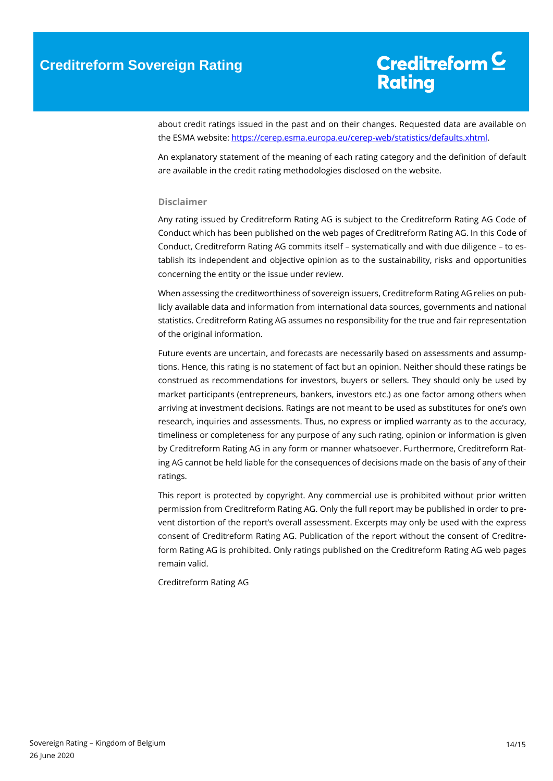about credit ratings issued in the past and on their changes. Requested data are available on the ESMA website[: https://cerep.esma.europa.eu/cerep-web/statistics/defaults.xhtml.](https://cerep.esma.europa.eu/cerep-web/statistics/defaults.xhtml)

An explanatory statement of the meaning of each rating category and the definition of default are available in the credit rating methodologies disclosed on the website.

#### **Disclaimer**

Any rating issued by Creditreform Rating AG is subject to the Creditreform Rating AG Code of Conduct which has been published on the web pages of Creditreform Rating AG. In this Code of Conduct, Creditreform Rating AG commits itself – systematically and with due diligence – to establish its independent and objective opinion as to the sustainability, risks and opportunities concerning the entity or the issue under review.

When assessing the creditworthiness of sovereign issuers, Creditreform Rating AG relies on publicly available data and information from international data sources, governments and national statistics. Creditreform Rating AG assumes no responsibility for the true and fair representation of the original information.

Future events are uncertain, and forecasts are necessarily based on assessments and assumptions. Hence, this rating is no statement of fact but an opinion. Neither should these ratings be construed as recommendations for investors, buyers or sellers. They should only be used by market participants (entrepreneurs, bankers, investors etc.) as one factor among others when arriving at investment decisions. Ratings are not meant to be used as substitutes for one's own research, inquiries and assessments. Thus, no express or implied warranty as to the accuracy, timeliness or completeness for any purpose of any such rating, opinion or information is given by Creditreform Rating AG in any form or manner whatsoever. Furthermore, Creditreform Rating AG cannot be held liable for the consequences of decisions made on the basis of any of their ratings.

This report is protected by copyright. Any commercial use is prohibited without prior written permission from Creditreform Rating AG. Only the full report may be published in order to prevent distortion of the report's overall assessment. Excerpts may only be used with the express consent of Creditreform Rating AG. Publication of the report without the consent of Creditreform Rating AG is prohibited. Only ratings published on the Creditreform Rating AG web pages remain valid.

Creditreform Rating AG